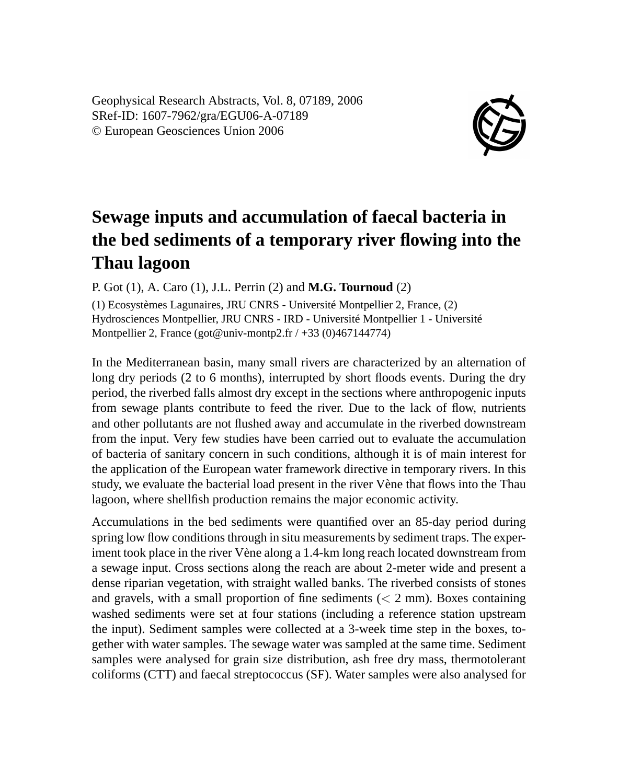Geophysical Research Abstracts, Vol. 8, 07189, 2006 SRef-ID: 1607-7962/gra/EGU06-A-07189 © European Geosciences Union 2006



## **Sewage inputs and accumulation of faecal bacteria in the bed sediments of a temporary river flowing into the Thau lagoon**

P. Got (1), A. Caro (1), J.L. Perrin (2) and **M.G. Tournoud** (2)

(1) Ecosystèmes Lagunaires, JRU CNRS - Université Montpellier 2, France, (2) Hydrosciences Montpellier, JRU CNRS - IRD - Université Montpellier 1 - Université Montpellier 2, France (got@univ-montp2.fr / +33 (0)467144774)

In the Mediterranean basin, many small rivers are characterized by an alternation of long dry periods (2 to 6 months), interrupted by short floods events. During the dry period, the riverbed falls almost dry except in the sections where anthropogenic inputs from sewage plants contribute to feed the river. Due to the lack of flow, nutrients and other pollutants are not flushed away and accumulate in the riverbed downstream from the input. Very few studies have been carried out to evaluate the accumulation of bacteria of sanitary concern in such conditions, although it is of main interest for the application of the European water framework directive in temporary rivers. In this study, we evaluate the bacterial load present in the river Vène that flows into the Thau lagoon, where shellfish production remains the major economic activity.

Accumulations in the bed sediments were quantified over an 85-day period during spring low flow conditions through in situ measurements by sediment traps. The experiment took place in the river Vène along a 1.4-km long reach located downstream from a sewage input. Cross sections along the reach are about 2-meter wide and present a dense riparian vegetation, with straight walled banks. The riverbed consists of stones and gravels, with a small proportion of fine sediments  $(< 2$  mm). Boxes containing washed sediments were set at four stations (including a reference station upstream the input). Sediment samples were collected at a 3-week time step in the boxes, together with water samples. The sewage water was sampled at the same time. Sediment samples were analysed for grain size distribution, ash free dry mass, thermotolerant coliforms (CTT) and faecal streptococcus (SF). Water samples were also analysed for